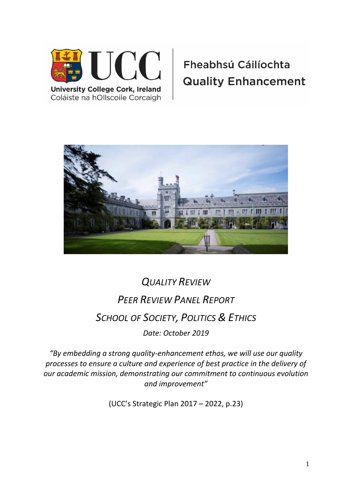

Coláiste na hOllscoile Corcaigh

# Fheabhsú Cáilíochta **Quality Enhancement**



# *QUALITY REVIEW PEER REVIEW PANEL REPORT SCHOOL OF SOCIETY, POLITICS & ETHICS Date: October 2019*

*"By embedding a strong quality-enhancement ethos, we will use our quality processes to ensure a culture and experience of best practice in the delivery of our academic mission, demonstrating our commitment to continuous evolution and improvement"* 

(UCC's Strategic Plan 2017 – 2022, p.23)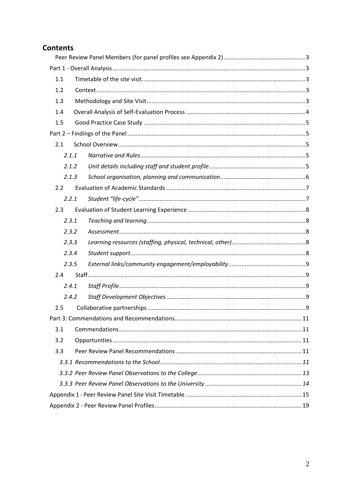## **Contents**

| 1.1<br>1.2<br>1.3<br>1.4<br>1.5<br>2.1<br>2.1.1<br>2.1.2<br>2.1.3<br>2.2<br>2.2.1<br>2.3<br>2.3.1<br>2.3.2<br>2.3.3<br>2.3.4<br>2.3.5<br>2.4<br>2.4.1<br>2.4.2<br>2.5<br>Part 3: Commendations and Recommendations<br>11<br>3.1<br>3.2 |  |  |
|----------------------------------------------------------------------------------------------------------------------------------------------------------------------------------------------------------------------------------------|--|--|
|                                                                                                                                                                                                                                        |  |  |
|                                                                                                                                                                                                                                        |  |  |
|                                                                                                                                                                                                                                        |  |  |
|                                                                                                                                                                                                                                        |  |  |
|                                                                                                                                                                                                                                        |  |  |
|                                                                                                                                                                                                                                        |  |  |
|                                                                                                                                                                                                                                        |  |  |
|                                                                                                                                                                                                                                        |  |  |
|                                                                                                                                                                                                                                        |  |  |
|                                                                                                                                                                                                                                        |  |  |
|                                                                                                                                                                                                                                        |  |  |
|                                                                                                                                                                                                                                        |  |  |
|                                                                                                                                                                                                                                        |  |  |
|                                                                                                                                                                                                                                        |  |  |
|                                                                                                                                                                                                                                        |  |  |
|                                                                                                                                                                                                                                        |  |  |
|                                                                                                                                                                                                                                        |  |  |
|                                                                                                                                                                                                                                        |  |  |
|                                                                                                                                                                                                                                        |  |  |
|                                                                                                                                                                                                                                        |  |  |
|                                                                                                                                                                                                                                        |  |  |
|                                                                                                                                                                                                                                        |  |  |
|                                                                                                                                                                                                                                        |  |  |
|                                                                                                                                                                                                                                        |  |  |
|                                                                                                                                                                                                                                        |  |  |
|                                                                                                                                                                                                                                        |  |  |
| 3.3                                                                                                                                                                                                                                    |  |  |
|                                                                                                                                                                                                                                        |  |  |
|                                                                                                                                                                                                                                        |  |  |
|                                                                                                                                                                                                                                        |  |  |
|                                                                                                                                                                                                                                        |  |  |
|                                                                                                                                                                                                                                        |  |  |
|                                                                                                                                                                                                                                        |  |  |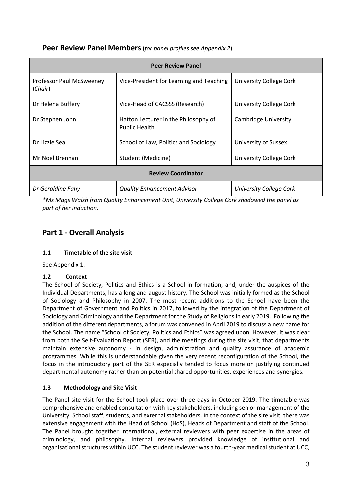<span id="page-2-0"></span>

| Peer Review Panel Members (for panel profiles see Appendix 2) |  |
|---------------------------------------------------------------|--|
|---------------------------------------------------------------|--|

| <b>Peer Review Panel</b>            |                                                              |                                |
|-------------------------------------|--------------------------------------------------------------|--------------------------------|
| Professor Paul McSweeney<br>(Chair) | Vice-President for Learning and Teaching                     | <b>University College Cork</b> |
| Dr Helena Buffery                   | Vice-Head of CACSSS (Research)                               | University College Cork        |
| Dr Stephen John                     | Hatton Lecturer in the Philosophy of<br><b>Public Health</b> | Cambridge University           |
| Dr Lizzie Seal                      | School of Law, Politics and Sociology                        | University of Sussex           |
| Mr Noel Brennan                     | Student (Medicine)                                           | University College Cork        |
| <b>Review Coordinator</b>           |                                                              |                                |
| Dr Geraldine Fahy                   | <b>Quality Enhancement Advisor</b>                           | University College Cork        |

*\*Ms Mags Walsh from Quality Enhancement Unit, University College Cork shadowed the panel as part of her induction.*

# <span id="page-2-1"></span>**Part 1 - Overall Analysis**

#### <span id="page-2-2"></span>**1.1 Timetable of the site visit**

See Appendix 1.

#### <span id="page-2-3"></span>**1.2 Context**

The School of Society, Politics and Ethics is a School in formation, and, under the auspices of the Individual Departments, has a long and august history. The School was initially formed as the School of Sociology and Philosophy in 2007. The most recent additions to the School have been the Department of Government and Politics in 2017, followed by the integration of the Department of Sociology and Criminology and the Department for the Study of Religions in early 2019. Following the addition of the different departments, a forum was convened in April 2019 to discuss a new name for the School. The name "School of Society, Politics and Ethics" was agreed upon. However, it was clear from both the Self-Evaluation Report (SER), and the meetings during the site visit, that departments maintain extensive autonomy - in design, administration and quality assurance of academic programmes. While this is understandable given the very recent reconfiguration of the School, the focus in the introductory part of the SER especially tended to focus more on justifying continued departmental autonomy rather than on potential shared opportunities, experiences and synergies.

#### <span id="page-2-4"></span>**1.3 Methodology and Site Visit**

The Panel site visit for the School took place over three days in October 2019. The timetable was comprehensive and enabled consultation with key stakeholders, including senior management of the University, School staff, students, and external stakeholders. In the context of the site visit, there was extensive engagement with the Head of School (HoS), Heads of Department and staff of the School. The Panel brought together international, external reviewers with peer expertise in the areas of criminology, and philosophy. Internal reviewers provided knowledge of institutional and organisational structures within UCC. The student reviewer was a fourth-year medical student at UCC,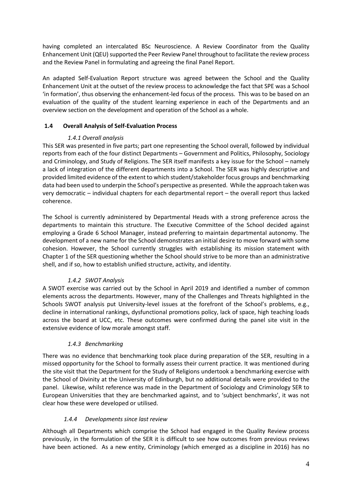having completed an intercalated BSc Neuroscience. A Review Coordinator from the Quality Enhancement Unit (QEU) supported the Peer Review Panel throughout to facilitate the review process and the Review Panel in formulating and agreeing the final Panel Report.

An adapted Self-Evaluation Report structure was agreed between the School and the Quality Enhancement Unit at the outset of the review process to acknowledge the fact that SPE was a School 'in formation', thus observing the enhancement-led focus of the process. This was to be based on an evaluation of the quality of the student learning experience in each of the Departments and an overview section on the development and operation of the School as a whole.

#### <span id="page-3-0"></span>**1.4 Overall Analysis of Self-Evaluation Process**

#### *1.4.1 Overall analysis*

This SER was presented in five parts; part one representing the School overall, followed by individual reports from each of the four distinct Departments – Government and Politics, Philosophy, Sociology and Criminology, and Study of Religions. The SER itself manifests a key issue for the School – namely a lack of integration of the different departments into a School. The SER was highly descriptive and provided limited evidence of the extent to which student/stakeholder focus groups and benchmarking data had been used to underpin the School's perspective as presented. While the approach taken was very democratic – individual chapters for each departmental report – the overall report thus lacked coherence.

The School is currently administered by Departmental Heads with a strong preference across the departments to maintain this structure. The Executive Committee of the School decided against employing a Grade 6 School Manager, instead preferring to maintain departmental autonomy. The development of a new name for the School demonstrates an initial desire to move forward with some cohesion. However, the School currently struggles with establishing its mission statement with Chapter 1 of the SER questioning whether the School should strive to be more than an administrative shell, and if so, how to establish unified structure, activity, and identity.

#### *1.4.2 SWOT Analysis*

A SWOT exercise was carried out by the School in April 2019 and identified a number of common elements across the departments. However, many of the Challenges and Threats highlighted in the Schools SWOT analysis put University-level issues at the forefront of the School's problems, e.g., decline in international rankings, dysfunctional promotions policy, lack of space, high teaching loads across the board at UCC, etc. These outcomes were confirmed during the panel site visit in the extensive evidence of low morale amongst staff.

#### *1.4.3 Benchmarking*

There was no evidence that benchmarking took place during preparation of the SER, resulting in a missed opportunity for the School to formally assess their current practice. It was mentioned during the site visit that the Department for the Study of Religions undertook a benchmarking exercise with the School of Divinity at the University of Edinburgh, but no additional details were provided to the panel. Likewise, whilst reference was made in the Department of Sociology and Criminology SER to European Universities that they are benchmarked against, and to 'subject benchmarks', it was not clear how these were developed or utilised.

#### *1.4.4 Developments since last review*

Although all Departments which comprise the School had engaged in the Quality Review process previously, in the formulation of the SER it is difficult to see how outcomes from previous reviews have been actioned. As a new entity, Criminology (which emerged as a discipline in 2016) has no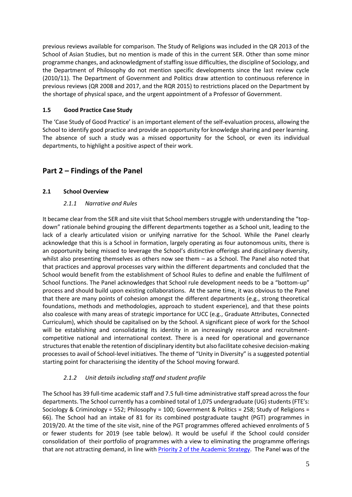previous reviews available for comparison. The Study of Religions was included in the QR 2013 of the School of Asian Studies, but no mention is made of this in the current SER. Other than some minor programme changes, and acknowledgment of staffing issue difficulties, the discipline of Sociology, and the Department of Philosophy do not mention specific developments since the last review cycle (2010/11). The Department of Government and Politics draw attention to continuous reference in previous reviews (QR 2008 and 2017, and the RQR 2015) to restrictions placed on the Department by the shortage of physical space, and the urgent appointment of a Professor of Government.

#### <span id="page-4-0"></span>**1.5 Good Practice Case Study**

The 'Case Study of Good Practice' is an important element of the self-evaluation process, allowing the School to identify good practice and provide an opportunity for knowledge sharing and peer learning. The absence of such a study was a missed opportunity for the School, or even its individual departments, to highlight a positive aspect of their work.

### <span id="page-4-1"></span>**Part 2 – Findings of the Panel**

#### <span id="page-4-3"></span><span id="page-4-2"></span>**2.1 School Overview**

#### *2.1.1 Narrative and Rules*

It became clear from the SER and site visit that School members struggle with understanding the "topdown" rationale behind grouping the different departments together as a School unit, leading to the lack of a clearly articulated vision or unifying narrative for the School. While the Panel clearly acknowledge that this is a School in formation, largely operating as four autonomous units, there is an opportunity being missed to leverage the School's distinctive offerings and disciplinary diversity, whilst also presenting themselves as others now see them – as a School. The Panel also noted that that practices and approval processes vary within the different departments and concluded that the School would benefit from the establishment of School Rules to define and enable the fulfilment of School functions. The Panel acknowledges that School rule development needs to be a "bottom-up" process and should build upon existing collaborations. At the same time, it was obvious to the Panel that there are many points of cohesion amongst the different departments (e.g., strong theoretical foundations, methods and methodologies, approach to student experience), and that these points also coalesce with many areas of strategic importance for UCC (e.g., Graduate Attributes, Connected Curriculum), which should be capitalised on by the School. A significant piece of work for the School will be establishing and consolidating its identity in an increasingly resource and recruitmentcompetitive national and international context. There is a need for operational and governance structures that enable the retention of disciplinary identity but also facilitate cohesive decision-making processes to avail of School-level initiatives. The theme of "Unity in Diversity" is a suggested potential starting point for characterising the identity of the School moving forward.

#### *2.1.2 Unit details including staff and student profile*

<span id="page-4-4"></span>The School has 39 full-time academic staff and 7.5 full-time administrative staff spread across the four departments. The School currently has a combined total of 1,075 undergraduate (UG) students (FTE's: Sociology & Criminology = 552; Philosophy = 100; Government & Politics = 258; Study of Religions = 66). The School had an intake of 81 for its combined postgraduate taught (PGT) programmes in 2019/20. At the time of the site visit, nine of the PGT programmes offered achieved enrolments of 5 or fewer students for 2019 (see table below). It would be useful if the School could consider consolidation of their portfolio of programmes with a view to eliminating the programme offerings that are not attracting demand, in line with **Priority 2 of the Academic Strategy**. The Panel was of the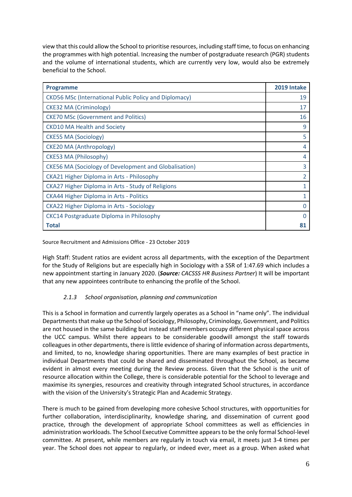view that this could allow the School to prioritise resources, including staff time, to focus on enhancing the programmes with high potential. Increasing the number of postgraduate research (PGR) students and the volume of international students, which are currently very low, would also be extremely beneficial to the School.

| <b>Programme</b>                                             | 2019 Intake |
|--------------------------------------------------------------|-------------|
| <b>CKD56 MSc (International Public Policy and Diplomacy)</b> | 19          |
| <b>CKE32 MA (Criminology)</b>                                | 17          |
| <b>CKE70 MSc (Government and Politics)</b>                   | 16          |
| <b>CKD10 MA Health and Society</b>                           | 9           |
| <b>CKE55 MA (Sociology)</b>                                  | 5           |
| <b>CKE20 MA (Anthropology)</b>                               | 4           |
| CKE53 MA (Philosophy)                                        | 4           |
| <b>CKE56 MA (Sociology of Development and Globalisation)</b> | 3           |
| CKA21 Higher Diploma in Arts - Philosophy                    | 2           |
| CKA27 Higher Diploma in Arts - Study of Religions            | 1           |
| <b>CKA44 Higher Diploma in Arts - Politics</b>               | 1           |
| CKA22 Higher Diploma in Arts - Sociology                     | 0           |
| CKC14 Postgraduate Diploma in Philosophy                     |             |
| Total                                                        | 81          |

Source Recruitment and Admissions Office - 23 October 2019

High Staff: Student ratios are evident across all departments, with the exception of the Department for the Study of Religions but are especially high in Sociology with a SSR of 1:47.69 which includes a new appointment starting in January 2020. (*Source: CACSSS HR Business Partner*) It will be important that any new appointees contribute to enhancing the profile of the School.

#### *2.1.3 School organisation, planning and communication*

<span id="page-5-0"></span>This is a School in formation and currently largely operates as a School in "name only". The individual Departments that make up the School of Sociology, Philosophy, Criminology, Government, and Politics are not housed in the same building but instead staff members occupy different physical space across the UCC campus. Whilst there appears to be considerable goodwill amongst the staff towards colleagues in other departments, there is little evidence of sharing of information across departments, and limited, to no, knowledge sharing opportunities. There are many examples of best practice in individual Departments that could be shared and disseminated throughout the School, as became evident in almost every meeting during the Review process. Given that the School is the unit of resource allocation within the College, there is considerable potential for the School to leverage and maximise its synergies, resources and creativity through integrated School structures, in accordance with the vision of the University's Strategic Plan and Academic Strategy.

There is much to be gained from developing more cohesive School structures, with opportunities for further collaboration, interdisciplinarity, knowledge sharing, and dissemination of current good practice, through the development of appropriate School committees as well as efficiencies in administration workloads. The School Executive Committee appears to be the only formal School-level committee. At present, while members are regularly in touch via email, it meets just 3-4 times per year. The School does not appear to regularly, or indeed ever, meet as a group. When asked what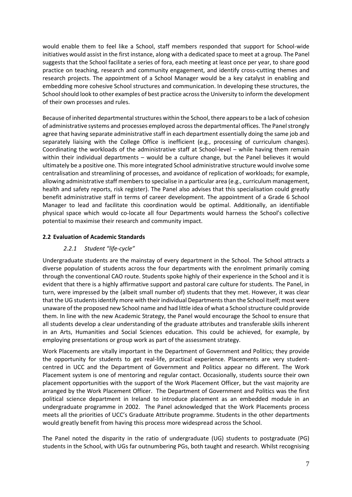would enable them to feel like a School, staff members responded that support for School-wide initiatives would assist in the first instance, along with a dedicated space to meet at a group. The Panel suggests that the School facilitate a series of fora, each meeting at least once per year, to share good practice on teaching, research and community engagement, and identify cross-cutting themes and research projects. The appointment of a School Manager would be a key catalyst in enabling and embedding more cohesive School structures and communication. In developing these structures, the School should look to other examples of best practice across the University to inform the development of their own processes and rules.

Because of inherited departmental structures within the School, there appearsto be a lack of cohesion of administrative systems and processes employed across the departmental offices. The Panel strongly agree that having separate administrative staff in each department essentially doing the same job and separately liaising with the College Office is inefficient (e.g., processing of curriculum changes). Coordinating the workloads of the administrative staff at School-level – while having them remain within their individual departments – would be a culture change, but the Panel believes it would ultimately be a positive one. This more integrated School administrative structure would involve some centralisation and streamlining of processes, and avoidance of replication of workloads; for example, allowing administrative staff members to specialise in a particular area (e.g., curriculum management, health and safety reports, risk register). The Panel also advises that this specialisation could greatly benefit administrative staff in terms of career development. The appointment of a Grade 6 School Manager to lead and facilitate this coordination would be optimal. Additionally, an identifiable physical space which would co-locate all four Departments would harness the School's collective potential to maximise their research and community impact.

#### <span id="page-6-1"></span><span id="page-6-0"></span>**2.2 Evaluation of Academic Standards**

#### *2.2.1 Student "life-cycle"*

Undergraduate students are the mainstay of every department in the School. The School attracts a diverse population of students across the four departments with the enrolment primarily coming through the conventional CAO route. Students spoke highly of their experience in the School and it is evident that there is a highly affirmative support and pastoral care culture for students. The Panel, in turn, were impressed by the (albeit small number of) students that they met. However, it was clear that the UG students identify more with their individual Departments than the School itself; most were unaware of the proposed new School name and had little idea of what a School structure could provide them. In line with the new Academic Strategy, the Panel would encourage the School to ensure that all students develop a clear understanding of the graduate attributes and transferable skills inherent in an Arts, Humanities and Social Sciences education. This could be achieved, for example, by employing presentations or group work as part of the assessment strategy.

Work Placements are vitally important in the Department of Government and Politics; they provide the opportunity for students to get real-life, practical experience. Placements are very studentcentred in UCC and the Department of Government and Politics appear no different. The Work Placement system is one of mentoring and regular contact. Occasionally, students source their own placement opportunities with the support of the Work Placement Officer, but the vast majority are arranged by the Work Placement Officer. The Department of Government and Politics was the first political science department in Ireland to introduce placement as an embedded module in an undergraduate programme in 2002. The Panel acknowledged that the Work Placements process meets all the priorities of UCC's Graduate Attribute programme. Students in the other departments would greatly benefit from having this process more widespread across the School.

The Panel noted the disparity in the ratio of undergraduate (UG) students to postgraduate (PG) students in the School, with UGs far outnumbering PGs, both taught and research. Whilst recognising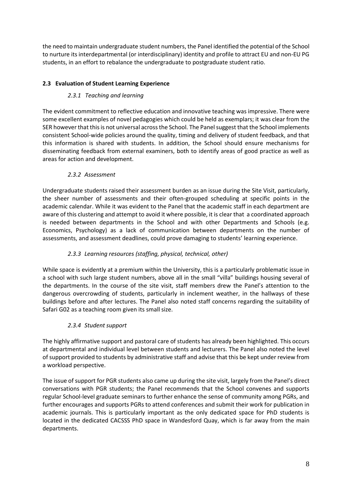the need to maintain undergraduate student numbers, the Panel identified the potential of the School to nurture its interdepartmental (or interdisciplinary) identity and profile to attract EU and non-EU PG students, in an effort to rebalance the undergraduate to postgraduate student ratio.

#### <span id="page-7-1"></span><span id="page-7-0"></span>**2.3 Evaluation of Student Learning Experience**

#### *2.3.1 Teaching and learning*

The evident commitment to reflective education and innovative teaching was impressive. There were some excellent examples of novel pedagogies which could be held as exemplars; it was clear from the SER howeverthat this is not universal across the School. The Panel suggest that the School implements consistent School-wide policies around the quality, timing and delivery of student feedback, and that this information is shared with students. In addition, the School should ensure mechanisms for disseminating feedback from external examiners, both to identify areas of good practice as well as areas for action and development.

#### *2.3.2 Assessment*

<span id="page-7-2"></span>Undergraduate students raised their assessment burden as an issue during the Site Visit, particularly, the sheer number of assessments and their often-grouped scheduling at specific points in the academic calendar. While it was evident to the Panel that the academic staff in each department are aware of this clustering and attempt to avoid it where possible, it is clear that a coordinated approach is needed between departments in the School and with other Departments and Schools (e.g. Economics, Psychology) as a lack of communication between departments on the number of assessments, and assessment deadlines, could prove damaging to students' learning experience.

#### *2.3.3 Learning resources (staffing, physical, technical, other)*

<span id="page-7-3"></span>While space is evidently at a premium within the University, this is a particularly problematic issue in a school with such large student numbers, above all in the small "villa" buildings housing several of the departments. In the course of the site visit, staff members drew the Panel's attention to the dangerous overcrowding of students, particularly in inclement weather, in the hallways of these buildings before and after lectures. The Panel also noted staff concerns regarding the suitability of Safari G02 as a teaching room given its small size.

#### *2.3.4 Student support*

<span id="page-7-4"></span>The highly affirmative support and pastoral care of students has already been highlighted. This occurs at departmental and individual level between students and lecturers. The Panel also noted the level of support provided to students by administrative staff and advise that this be kept under review from a workload perspective.

The issue of support for PGR students also came up during the site visit, largely from the Panel's direct conversations with PGR students; the Panel recommends that the School convenes and supports regular School-level graduate seminars to further enhance the sense of community among PGRs, and further encourages and supports PGRs to attend conferences and submit their work for publication in academic journals. This is particularly important as the only dedicated space for PhD students is located in the dedicated CACSSS PhD space in Wandesford Quay, which is far away from the main departments.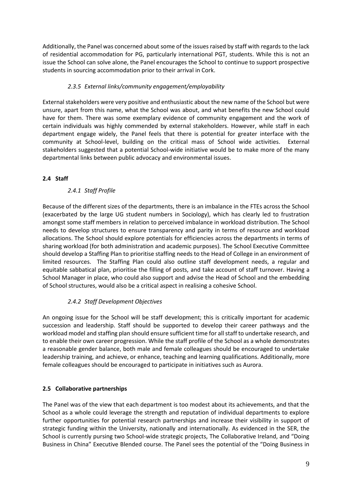Additionally, the Panel was concerned about some of the issues raised by staff with regards to the lack of residential accommodation for PG, particularly international PGT, students. While this is not an issue the School can solve alone, the Panel encourages the School to continue to support prospective students in sourcing accommodation prior to their arrival in Cork.

#### *2.3.5 External links/community engagement/employability*

<span id="page-8-0"></span>External stakeholders were very positive and enthusiastic about the new name of the School but were unsure, apart from this name, what the School was about, and what benefits the new School could have for them. There was some exemplary evidence of community engagement and the work of certain individuals was highly commended by external stakeholders. However, while staff in each department engage widely, the Panel feels that there is potential for greater interface with the community at School-level, building on the critical mass of School wide activities. External stakeholders suggested that a potential School-wide initiative would be to make more of the many departmental links between public advocacy and environmental issues.

#### <span id="page-8-2"></span><span id="page-8-1"></span>**2.4 Staff**

#### *2.4.1 Staff Profile*

Because of the different sizes of the departments, there is an imbalance in the FTEs across the School (exacerbated by the large UG student numbers in Sociology), which has clearly led to frustration amongst some staff members in relation to perceived imbalance in workload distribution. The School needs to develop structures to ensure transparency and parity in terms of resource and workload allocations. The School should explore potentials for efficiencies across the departments in terms of sharing workload (for both administration and academic purposes). The School Executive Committee should develop a Staffing Plan to prioritise staffing needs to the Head of College in an environment of limited resources. The Staffing Plan could also outline staff development needs, a regular and equitable sabbatical plan, prioritise the filling of posts, and take account of staff turnover. Having a School Manager in place, who could also support and advise the Head of School and the embedding of School structures, would also be a critical aspect in realising a cohesive School.

#### *2.4.2 Staff Development Objectives*

<span id="page-8-3"></span>An ongoing issue for the School will be staff development; this is critically important for academic succession and leadership. Staff should be supported to develop their career pathways and the workload model and staffing plan should ensure sufficient time for all staff to undertake research, and to enable their own career progression. While the staff profile of the School as a whole demonstrates a reasonable gender balance, both male and female colleagues should be encouraged to undertake leadership training, and achieve, or enhance, teaching and learning qualifications. Additionally, more female colleagues should be encouraged to participate in initiatives such as Aurora.

#### <span id="page-8-4"></span>**2.5 Collaborative partnerships**

The Panel was of the view that each department is too modest about its achievements, and that the School as a whole could leverage the strength and reputation of individual departments to explore further opportunities for potential research partnerships and increase their visibility in support of strategic funding within the University, nationally and internationally. As evidenced in the SER, the School is currently pursing two School-wide strategic projects, The Collaborative Ireland, and "Doing Business in China" Executive Blended course. The Panel sees the potential of the "Doing Business in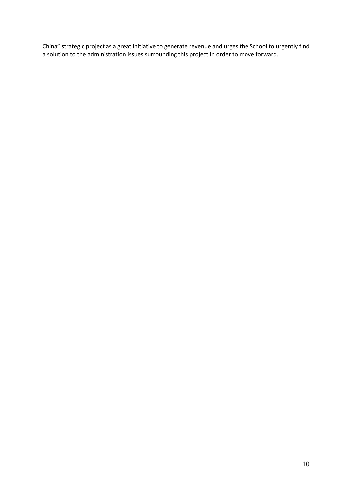China" strategic project as a great initiative to generate revenue and urges the School to urgently find a solution to the administration issues surrounding this project in order to move forward.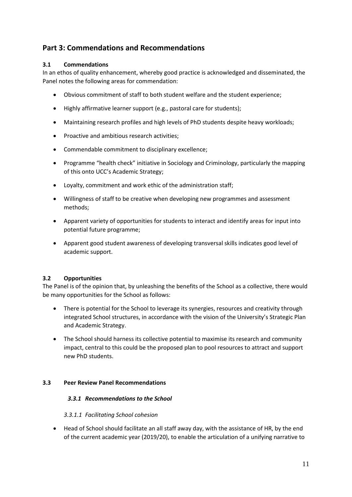### <span id="page-10-0"></span>**Part 3: Commendations and Recommendations**

#### <span id="page-10-1"></span>**3.1 Commendations**

In an ethos of quality enhancement, whereby good practice is acknowledged and disseminated, the Panel notes the following areas for commendation:

- Obvious commitment of staff to both student welfare and the student experience;
- Highly affirmative learner support (e.g., pastoral care for students);
- Maintaining research profiles and high levels of PhD students despite heavy workloads;
- Proactive and ambitious research activities;
- Commendable commitment to disciplinary excellence;
- Programme "health check" initiative in Sociology and Criminology, particularly the mapping of this onto UCC's Academic Strategy;
- Loyalty, commitment and work ethic of the administration staff;
- Willingness of staff to be creative when developing new programmes and assessment methods;
- Apparent variety of opportunities for students to interact and identify areas for input into potential future programme;
- Apparent good student awareness of developing transversal skills indicates good level of academic support.

#### <span id="page-10-2"></span>**3.2 Opportunities**

The Panel is of the opinion that, by unleashing the benefits of the School as a collective, there would be many opportunities for the School as follows:

- There is potential for the School to leverage its synergies, resources and creativity through integrated School structures, in accordance with the vision of the University's Strategic Plan and Academic Strategy.
- The School should harness its collective potential to maximise its research and community impact, central to this could be the proposed plan to pool resources to attract and support new PhD students.

#### <span id="page-10-4"></span><span id="page-10-3"></span>**3.3 Peer Review Panel Recommendations**

#### *3.3.1 Recommendations to the School*

#### *3.3.1.1 Facilitating School cohesion*

• Head of School should facilitate an all staff away day, with the assistance of HR, by the end of the current academic year (2019/20), to enable the articulation of a unifying narrative to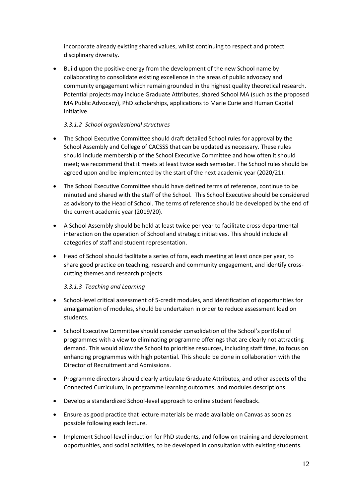incorporate already existing shared values, whilst continuing to respect and protect disciplinary diversity.

• Build upon the positive energy from the development of the new School name by collaborating to consolidate existing excellence in the areas of public advocacy and community engagement which remain grounded in the highest quality theoretical research. Potential projects may include Graduate Attributes, shared School MA (such as the proposed MA Public Advocacy), PhD scholarships, applications to Marie Curie and Human Capital Initiative.

#### *3.3.1.2 School organizational structures*

- The School Executive Committee should draft detailed School rules for approval by the School Assembly and College of CACSSS that can be updated as necessary. These rules should include membership of the School Executive Committee and how often it should meet; we recommend that it meets at least twice each semester. The School rules should be agreed upon and be implemented by the start of the next academic year (2020/21).
- The School Executive Committee should have defined terms of reference, continue to be minuted and shared with the staff of the School. This School Executive should be considered as advisory to the Head of School. The terms of reference should be developed by the end of the current academic year (2019/20).
- A School Assembly should be held at least twice per year to facilitate cross-departmental interaction on the operation of School and strategic initiatives. This should include all categories of staff and student representation.
- Head of School should facilitate a series of fora, each meeting at least once per year, to share good practice on teaching, research and community engagement, and identify crosscutting themes and research projects.

#### *3.3.1.3 Teaching and Learning*

- School-level critical assessment of 5-credit modules, and identification of opportunities for amalgamation of modules, should be undertaken in order to reduce assessment load on students.
- School Executive Committee should consider consolidation of the School's portfolio of programmes with a view to eliminating programme offerings that are clearly not attracting demand. This would allow the School to prioritise resources, including staff time, to focus on enhancing programmes with high potential. This should be done in collaboration with the Director of Recruitment and Admissions.
- Programme directors should clearly articulate Graduate Attributes, and other aspects of the Connected Curriculum, in programme learning outcomes, and modules descriptions.
- Develop a standardized School-level approach to online student feedback.
- Ensure as good practice that lecture materials be made available on Canvas as soon as possible following each lecture.
- Implement School-level induction for PhD students, and follow on training and development opportunities, and social activities, to be developed in consultation with existing students.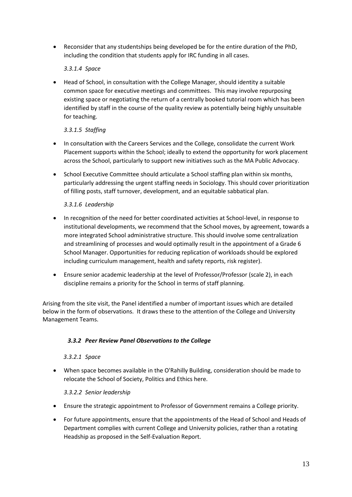• Reconsider that any studentships being developed be for the entire duration of the PhD, including the condition that students apply for IRC funding in all cases.

#### *3.3.1.4 Space*

• Head of School, in consultation with the College Manager, should identity a suitable common space for executive meetings and committees. This may involve repurposing existing space or negotiating the return of a centrally booked tutorial room which has been identified by staff in the course of the quality review as potentially being highly unsuitable for teaching.

#### *3.3.1.5 Staffing*

- In consultation with the Careers Services and the College, consolidate the current Work Placement supports within the School; ideally to extend the opportunity for work placement across the School, particularly to support new initiatives such as the MA Public Advocacy.
- School Executive Committee should articulate a School staffing plan within six months, particularly addressing the urgent staffing needs in Sociology. This should cover prioritization of filling posts, staff turnover, development, and an equitable sabbatical plan.

#### *3.3.1.6 Leadership*

- In recognition of the need for better coordinated activities at School-level, in response to institutional developments, we recommend that the School moves, by agreement, towards a more integrated School administrative structure. This should involve some centralization and streamlining of processes and would optimally result in the appointment of a Grade 6 School Manager. Opportunities for reducing replication of workloads should be explored including curriculum management, health and safety reports, risk register).
- Ensure senior academic leadership at the level of Professor/Professor (scale 2), in each discipline remains a priority for the School in terms of staff planning.

Arising from the site visit, the Panel identified a number of important issues which are detailed below in the form of observations. It draws these to the attention of the College and University Management Teams.

#### <span id="page-12-0"></span>*3.3.2 Peer Review Panel Observations to the College*

#### *3.3.2.1 Space*

• When space becomes available in the O'Rahilly Building, consideration should be made to relocate the School of Society, Politics and Ethics here.

#### *3.3.2.2 Senior leadership*

- Ensure the strategic appointment to Professor of Government remains a College priority.
- For future appointments, ensure that the appointments of the Head of School and Heads of Department complies with current College and University policies, rather than a rotating Headship as proposed in the Self-Evaluation Report.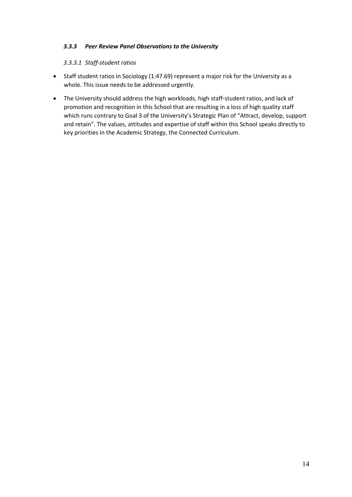#### <span id="page-13-0"></span>*3.3.3 Peer Review Panel Observations to the University*

#### *3.3.3.1 Staff-student ratios*

- Staff student ratios in Sociology (1:47.69) represent a major risk for the University as a whole. This issue needs to be addressed urgently.
- The University should address the high workloads, high staff-student ratios, and lack of promotion and recognition in this School that are resulting in a loss of high quality staff which runs contrary to Goal 3 of the University's Strategic Plan of "Attract, develop, support and retain". The values, attitudes and expertise of staff within this School speaks directly to key priorities in the Academic Strategy, the Connected Curriculum.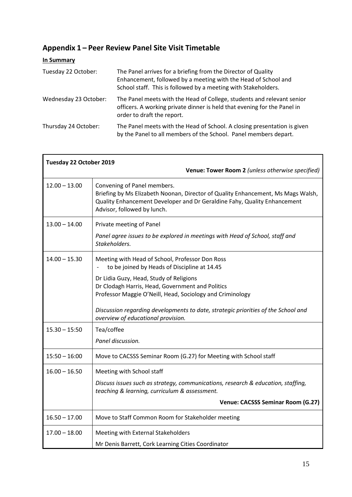# <span id="page-14-0"></span>**Appendix 1 – Peer Review Panel Site Visit Timetable**

#### **In Summary**

| Tuesday 22 October:   | The Panel arrives for a briefing from the Director of Quality<br>Enhancement, followed by a meeting with the Head of School and<br>School staff. This is followed by a meeting with Stakeholders. |
|-----------------------|---------------------------------------------------------------------------------------------------------------------------------------------------------------------------------------------------|
| Wednesday 23 October: | The Panel meets with the Head of College, students and relevant senior<br>officers. A working private dinner is held that evening for the Panel in<br>order to draft the report.                  |
| Thursday 24 October:  | The Panel meets with the Head of School. A closing presentation is given<br>by the Panel to all members of the School. Panel members depart.                                                      |

| Tuesday 22 October 2019 | Venue: Tower Room 2 (unless otherwise specified)                                                                                                                                                                           |
|-------------------------|----------------------------------------------------------------------------------------------------------------------------------------------------------------------------------------------------------------------------|
| $12.00 - 13.00$         | Convening of Panel members.<br>Briefing by Ms Elizabeth Noonan, Director of Quality Enhancement, Ms Mags Walsh,<br>Quality Enhancement Developer and Dr Geraldine Fahy, Quality Enhancement<br>Advisor, followed by lunch. |
| $13.00 - 14.00$         | Private meeting of Panel<br>Panel agree issues to be explored in meetings with Head of School, staff and<br>Stakeholders.                                                                                                  |
| $14.00 - 15.30$         | Meeting with Head of School, Professor Don Ross<br>to be joined by Heads of Discipline at 14.45                                                                                                                            |
|                         | Dr Lidia Guzy, Head, Study of Religions<br>Dr Clodagh Harris, Head, Government and Politics<br>Professor Maggie O'Neill, Head, Sociology and Criminology                                                                   |
|                         | Discussion regarding developments to date, strategic priorities of the School and<br>overview of educational provision.                                                                                                    |
| $15.30 - 15:50$         | Tea/coffee<br>Panel discussion.                                                                                                                                                                                            |
| $15:50 - 16:00$         | Move to CACSSS Seminar Room (G.27) for Meeting with School staff                                                                                                                                                           |
| $16.00 - 16.50$         | Meeting with School staff<br>Discuss issues such as strategy, communications, research & education, staffing,<br>teaching & learning, curriculum & assessment.                                                             |
|                         | Venue: CACSSS Seminar Room (G.27)                                                                                                                                                                                          |
| $16.50 - 17.00$         | Move to Staff Common Room for Stakeholder meeting                                                                                                                                                                          |
| $17.00 - 18.00$         | Meeting with External Stakeholders<br>Mr Denis Barrett, Cork Learning Cities Coordinator                                                                                                                                   |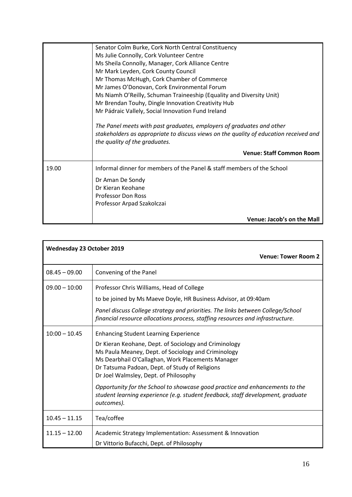|       | Senator Colm Burke, Cork North Central Constituency                                   |
|-------|---------------------------------------------------------------------------------------|
|       | Ms Julie Connolly, Cork Volunteer Centre                                              |
|       | Ms Sheila Connolly, Manager, Cork Alliance Centre                                     |
|       | Mr Mark Leyden, Cork County Council                                                   |
|       | Mr Thomas McHugh, Cork Chamber of Commerce                                            |
|       | Mr James O'Donovan, Cork Environmental Forum                                          |
|       | Ms Niamh O'Reilly, Schuman Traineeship (Equality and Diversity Unit)                  |
|       | Mr Brendan Touhy, Dingle Innovation Creativity Hub                                    |
|       | Mr Pádraic Vallely, Social Innovation Fund Ireland                                    |
|       |                                                                                       |
|       | The Panel meets with past graduates, employers of graduates and other                 |
|       | stakeholders as appropriate to discuss views on the quality of education received and |
|       | the quality of the graduates.                                                         |
|       |                                                                                       |
|       | <b>Venue: Staff Common Room</b>                                                       |
| 19.00 | Informal dinner for members of the Panel & staff members of the School                |
|       | Dr Aman De Sondy                                                                      |
|       | Dr Kieran Keohane                                                                     |
|       | <b>Professor Don Ross</b>                                                             |
|       | Professor Arpad Szakolczai                                                            |
|       |                                                                                       |
|       | Venue: Jacob's on the Mall                                                            |

| <b>Wednesday 23 October 2019</b> |                                                                                                                                                                               |  |
|----------------------------------|-------------------------------------------------------------------------------------------------------------------------------------------------------------------------------|--|
|                                  | <b>Venue: Tower Room 2</b>                                                                                                                                                    |  |
| $08.45 - 09.00$                  | Convening of the Panel                                                                                                                                                        |  |
| $09.00 - 10:00$                  | Professor Chris Williams, Head of College                                                                                                                                     |  |
|                                  | to be joined by Ms Maeve Doyle, HR Business Advisor, at 09:40am                                                                                                               |  |
|                                  | Panel discuss College strategy and priorities. The links between College/School<br>financial resource allocations process, staffing resources and infrastructure.             |  |
| $10:00 - 10.45$                  | <b>Enhancing Student Learning Experience</b>                                                                                                                                  |  |
|                                  | Dr Kieran Keohane, Dept. of Sociology and Criminology                                                                                                                         |  |
|                                  | Ms Paula Meaney, Dept. of Sociology and Criminology                                                                                                                           |  |
|                                  | Ms Dearbhail O'Callaghan, Work Placements Manager<br>Dr Tatsuma Padoan, Dept. of Study of Religions                                                                           |  |
|                                  | Dr Joel Walmsley, Dept. of Philosophy                                                                                                                                         |  |
|                                  | Opportunity for the School to showcase good practice and enhancements to the<br>student learning experience (e.g. student feedback, staff development, graduate<br>outcomes). |  |
| $10.45 - 11.15$                  | Tea/coffee                                                                                                                                                                    |  |
| $11.15 - 12.00$                  | Academic Strategy Implementation: Assessment & Innovation                                                                                                                     |  |
|                                  | Dr Vittorio Bufacchi, Dept. of Philosophy                                                                                                                                     |  |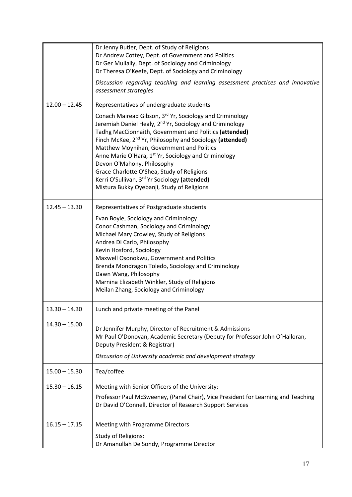|                 | Dr Jenny Butler, Dept. of Study of Religions<br>Dr Andrew Cottey, Dept. of Government and Politics<br>Dr Ger Mullally, Dept. of Sociology and Criminology<br>Dr Theresa O'Keefe, Dept. of Sociology and Criminology                                                                                                                                                                                                                                                                                                                                                        |
|-----------------|----------------------------------------------------------------------------------------------------------------------------------------------------------------------------------------------------------------------------------------------------------------------------------------------------------------------------------------------------------------------------------------------------------------------------------------------------------------------------------------------------------------------------------------------------------------------------|
|                 | Discussion regarding teaching and learning assessment practices and innovative<br>assessment strategies                                                                                                                                                                                                                                                                                                                                                                                                                                                                    |
| $12.00 - 12.45$ | Representatives of undergraduate students                                                                                                                                                                                                                                                                                                                                                                                                                                                                                                                                  |
|                 | Conach Mairead Gibson, 3 <sup>rd</sup> Yr, Sociology and Criminology<br>Jeremiah Daniel Healy, 2 <sup>nd</sup> Yr, Sociology and Criminology<br>Tadhg MacCionnaith, Government and Politics (attended)<br>Finch McKee, 2 <sup>nd</sup> Yr, Philosophy and Sociology (attended)<br>Matthew Moynihan, Government and Politics<br>Anne Marie O'Hara, 1 <sup>st</sup> Yr, Sociology and Criminology<br>Devon O'Mahony, Philosophy<br>Grace Charlotte O'Shea, Study of Religions<br>Kerri O'Sullivan, 3rd Yr Sociology (attended)<br>Mistura Bukky Oyebanji, Study of Religions |
| $12.45 - 13.30$ | Representatives of Postgraduate students                                                                                                                                                                                                                                                                                                                                                                                                                                                                                                                                   |
|                 | Evan Boyle, Sociology and Criminology<br>Conor Cashman, Sociology and Criminology<br>Michael Mary Crowley, Study of Religions<br>Andrea Di Carlo, Philosophy<br>Kevin Hosford, Sociology<br>Maxwell Osonokwu, Government and Politics<br>Brenda Mondragon Toledo, Sociology and Criminology<br>Dawn Wang, Philosophy<br>Marnina Elizabeth Winkler, Study of Religions<br>Meilan Zhang, Sociology and Criminology                                                                                                                                                           |
| $13.30 - 14.30$ | Lunch and private meeting of the Panel                                                                                                                                                                                                                                                                                                                                                                                                                                                                                                                                     |
| $14.30 - 15.00$ | Dr Jennifer Murphy, Director of Recruitment & Admissions<br>Mr Paul O'Donovan, Academic Secretary (Deputy for Professor John O'Halloran,<br>Deputy President & Registrar)<br>Discussion of University academic and development strategy                                                                                                                                                                                                                                                                                                                                    |
| $15.00 - 15.30$ | Tea/coffee                                                                                                                                                                                                                                                                                                                                                                                                                                                                                                                                                                 |
| $15.30 - 16.15$ | Meeting with Senior Officers of the University:                                                                                                                                                                                                                                                                                                                                                                                                                                                                                                                            |
|                 | Professor Paul McSweeney, (Panel Chair), Vice President for Learning and Teaching<br>Dr David O'Connell, Director of Research Support Services                                                                                                                                                                                                                                                                                                                                                                                                                             |
| $16.15 - 17.15$ | Meeting with Programme Directors                                                                                                                                                                                                                                                                                                                                                                                                                                                                                                                                           |
|                 | <b>Study of Religions:</b><br>Dr Amanullah De Sondy, Programme Director                                                                                                                                                                                                                                                                                                                                                                                                                                                                                                    |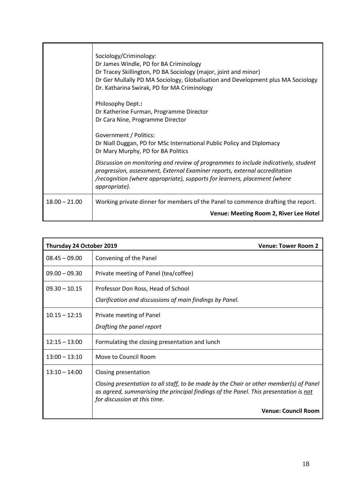|                 | Sociology/Criminology:<br>Dr James Windle, PD for BA Criminology<br>Dr Tracey Skillington, PD BA Sociology (major, joint and minor)<br>Dr Ger Mullally PD MA Sociology, Globalisation and Development plus MA Sociology<br>Dr. Katharina Swirak, PD for MA Criminology |
|-----------------|------------------------------------------------------------------------------------------------------------------------------------------------------------------------------------------------------------------------------------------------------------------------|
|                 | Philosophy Dept.:<br>Dr Katherine Furman, Programme Director<br>Dr Cara Nine, Programme Director<br>Government / Politics:                                                                                                                                             |
|                 | Dr Niall Duggan, PD for MSc International Public Policy and Diplomacy<br>Dr Mary Murphy, PD for BA Politics                                                                                                                                                            |
|                 | Discussion on monitoring and review of programmes to include indicatively, student<br>progression, assessment, External Examiner reports, external accreditation<br>/recognition (where appropriate), supports for learners, placement (where<br>appropriate).         |
| $18.00 - 21.00$ | Working private dinner for members of the Panel to commence drafting the report.<br>Venue: Meeting Room 2, River Lee Hotel                                                                                                                                             |

| Thursday 24 October 2019 | <b>Venue: Tower Room 2</b>                                                                                                                                                                                                             |  |
|--------------------------|----------------------------------------------------------------------------------------------------------------------------------------------------------------------------------------------------------------------------------------|--|
| $08.45 - 09.00$          | Convening of the Panel                                                                                                                                                                                                                 |  |
| $09.00 - 09.30$          | Private meeting of Panel (tea/coffee)                                                                                                                                                                                                  |  |
| $09.30 - 10.15$          | Professor Don Ross, Head of School<br>Clarification and discussions of main findings by Panel.                                                                                                                                         |  |
| $10.15 - 12:15$          | Private meeting of Panel<br>Drafting the panel report                                                                                                                                                                                  |  |
| $12:15 - 13:00$          | Formulating the closing presentation and lunch                                                                                                                                                                                         |  |
| $13:00 - 13:10$          | Move to Council Room                                                                                                                                                                                                                   |  |
| $13:10 - 14:00$          | Closing presentation<br>Closing presentation to all staff, to be made by the Chair or other member(s) of Panel<br>as agreed, summarising the principal findings of the Panel. This presentation is not<br>for discussion at this time. |  |
|                          | <b>Venue: Council Room</b>                                                                                                                                                                                                             |  |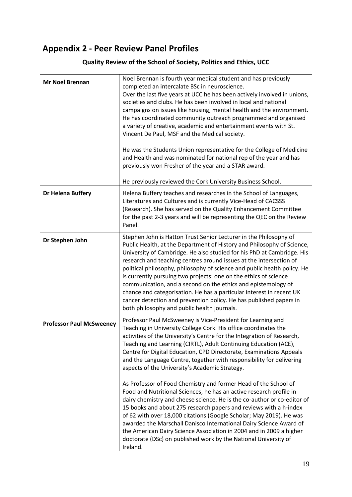# <span id="page-18-0"></span>**Appendix 2 - Peer Review Panel Profiles**

#### **Mr Noel Brennan** Noel Brennan is fourth year medical student and has previously completed an intercalate BSc in neuroscience. Over the last five years at UCC he has been actively involved in unions, societies and clubs. He has been involved in local and national campaigns on issues like housing, mental health and the environment. He has coordinated community outreach programmed and organised a variety of creative, academic and entertainment events with St. Vincent De Paul, MSF and the Medical society. He was the Students Union representative for the College of Medicine and Health and was nominated for national rep of the year and has previously won Fresher of the year and a STAR award. He previously reviewed the Cork University Business School. **Dr Helena Buffery** Helena Buffery teaches and researches in the School of Languages, Literatures and Cultures and is currently Vice-Head of CACSSS (Research). She has served on the Quality Enhancement Committee for the past 2-3 years and will be representing the QEC on the Review Panel. **Dr Stephen John Stephen John is Hatton Trust Senior Lecturer in the Philosophy of** Public Health, at the Department of History and Philosophy of Science, University of Cambridge. He also studied for his PhD at Cambridge. His research and teaching centres around issues at the intersection of political philosophy, philosophy of science and public health policy. He is currently pursuing two projects: one on the ethics of science communication, and a second on the ethics and epistemology of chance and categorisation. He has a particular interest in recent UK cancer detection and prevention policy. He has published papers in both philosophy and public health journals. **Professor Paul McSweeney** Professor Paul McSweeney is Vice-President for Learning and Teaching in University College Cork. His office coordinates the activities of the University's Centre for the Integration of Research, Teaching and Learning (CIRTL), Adult Continuing Education (ACE), Centre for Digital Education, CPD Directorate, Examinations Appeals and the Language Centre, together with responsibility for delivering aspects of the University's Academic Strategy. As Professor of Food Chemistry and former Head of the School of Food and Nutritional Sciences, he has an active research profile in dairy chemistry and cheese science. He is the co-author or co-editor of 15 books and about 275 research papers and reviews with a h-index of 62 with over 18,000 citations (Google Scholar; May 2019). He was awarded the Marschall Danisco International Dairy Science Award of the American Dairy Science Association in 2004 and in 2009 a higher doctorate (DSc) on published work by the National University of Ireland.

#### **Quality Review of the School of Society, Politics and Ethics, UCC**